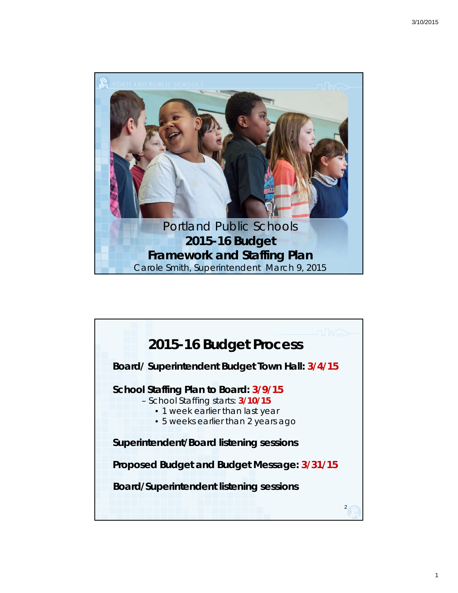

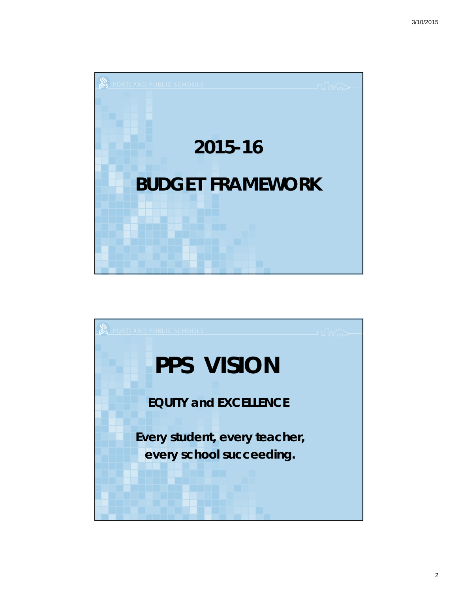

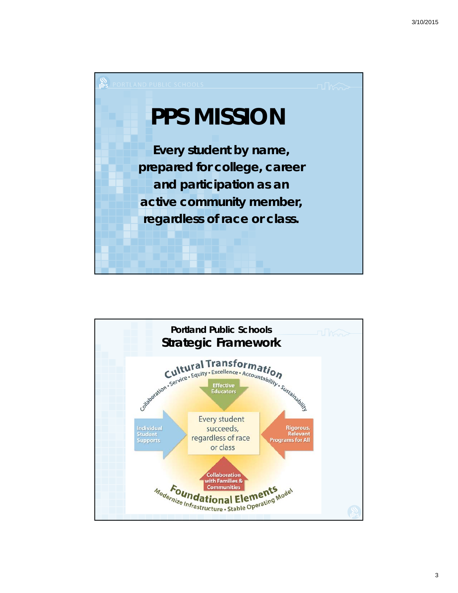

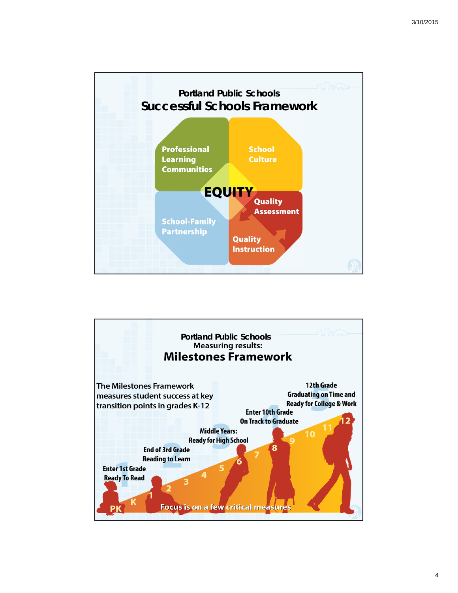

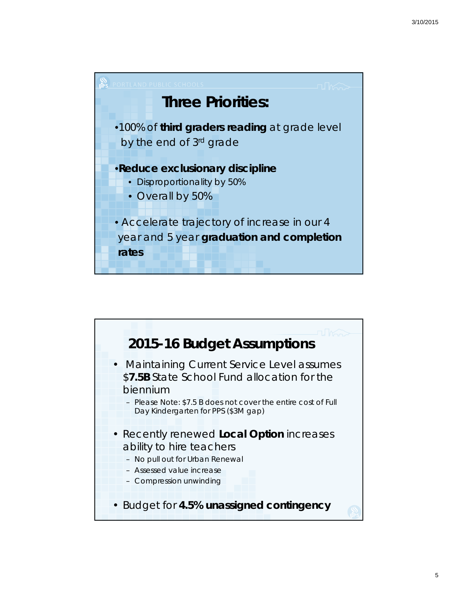

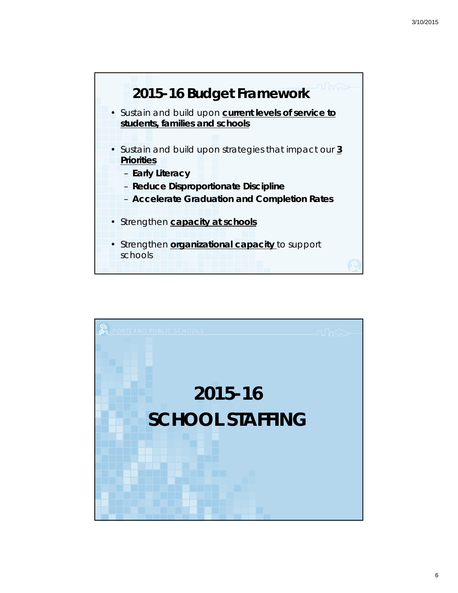

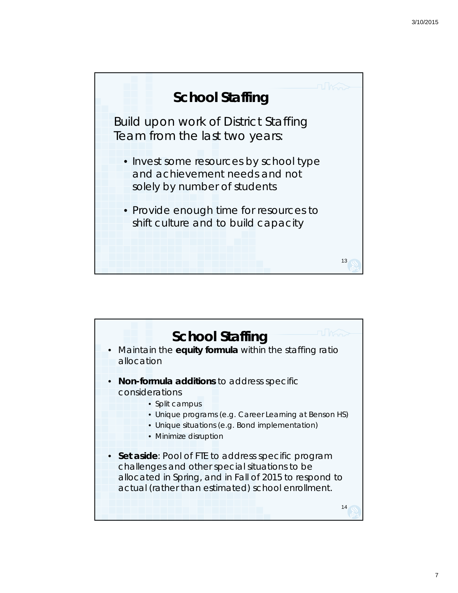

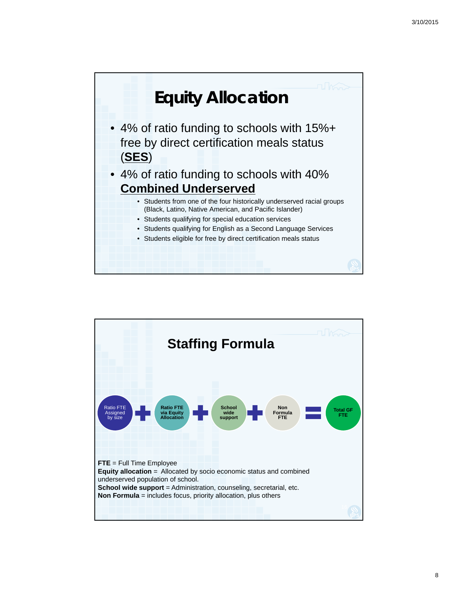

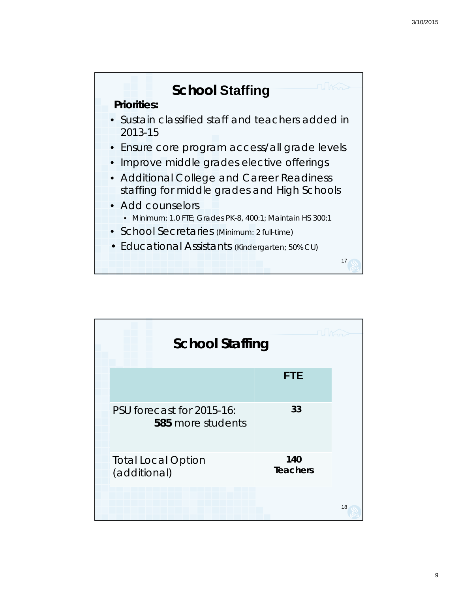

| There<br><b>School Staffing</b>                |                        |
|------------------------------------------------|------------------------|
|                                                | <b>FTE</b>             |
| PSU forecast for 2015-16:<br>585 more students | 33                     |
| <b>Total Local Option</b><br>(additional)      | 140<br><b>Teachers</b> |
|                                                |                        |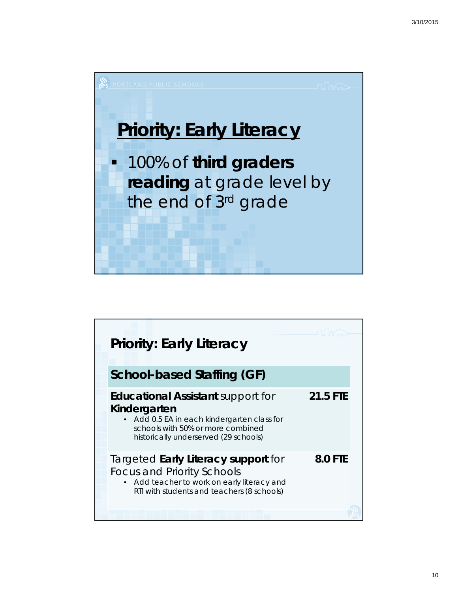

| <b>Priority: Early Literacy</b>                                                                                                                                                     |                |
|-------------------------------------------------------------------------------------------------------------------------------------------------------------------------------------|----------------|
| School-based Staffing (GF)                                                                                                                                                          |                |
| <b>Educational Assistant support for</b><br>Kindergarten<br>Add 0.5 EA in each kindergarten class for<br>schools with 50% or more combined<br>historically underserved (29 schools) | 21.5 FTE       |
| Targeted Early Literacy support for<br><b>Focus and Priority Schools</b><br>Add teacher to work on early literacy and<br>$\bullet$<br>RTI with students and teachers (8 schools)    | <b>8.0 FTE</b> |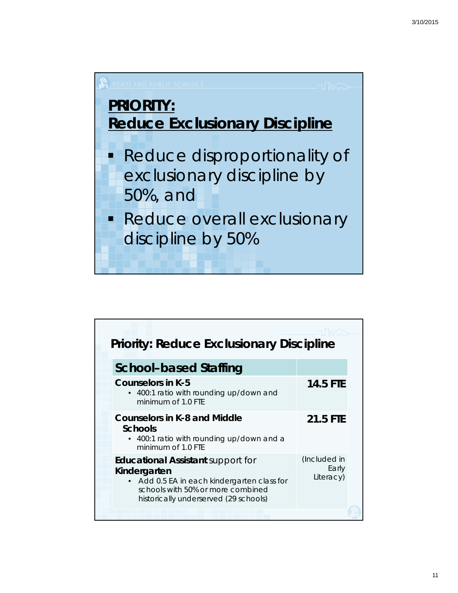

| <b>Priority: Reduce Exclusionary Discipline</b>                                                                                                                                       |                                    |  |
|---------------------------------------------------------------------------------------------------------------------------------------------------------------------------------------|------------------------------------|--|
| <b>School-based Staffing</b>                                                                                                                                                          |                                    |  |
| <b>Counselors in K-5</b><br>• 400:1 ratio with rounding up/down and<br>minimum of 1.0 FTF                                                                                             | <b>14.5 FTE</b>                    |  |
| <b>Counselors in K-8 and Middle</b><br>Schools<br>• 400:1 ratio with rounding up/down and a<br>minimum of 1.0 FTF                                                                     | 21.5 FTE                           |  |
| <b>Educational Assistant</b> support for<br>Kindergarten<br>• Add 0.5 EA in each kindergarten class for<br>schools with 50% or more combined<br>historically underserved (29 schools) | (Included in<br>Early<br>Literacy) |  |
|                                                                                                                                                                                       |                                    |  |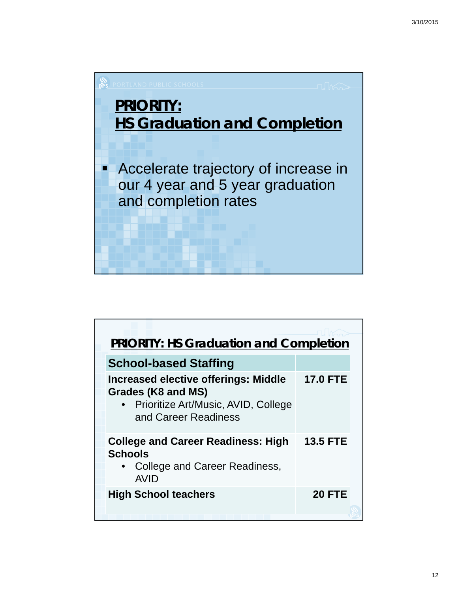

| <b>PRIORITY: HS Graduation and Completion</b>                                                                                      |                 |
|------------------------------------------------------------------------------------------------------------------------------------|-----------------|
| <b>School-based Staffing</b>                                                                                                       |                 |
| <b>Increased elective offerings: Middle</b><br>Grades (K8 and MS)<br>• Prioritize Art/Music, AVID, College<br>and Career Readiness | <b>17.0 FTE</b> |
| <b>College and Career Readiness: High</b><br><b>Schools</b><br>• College and Career Readiness,<br><b>AVID</b>                      | <b>13.5 FTE</b> |
| <b>High School teachers</b>                                                                                                        | <b>20 FTE</b>   |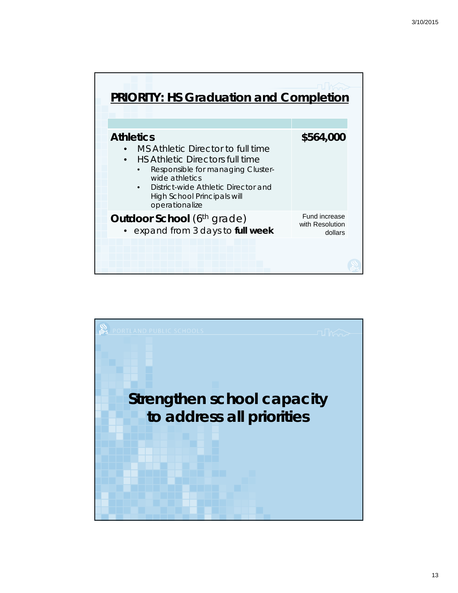| <b>PRIORITY: HS Graduation and Completion</b>                                                                                                                                                                                                                      |                                             |
|--------------------------------------------------------------------------------------------------------------------------------------------------------------------------------------------------------------------------------------------------------------------|---------------------------------------------|
| <b>Athletics</b><br>MS Athletic Director to full time<br><b>HS Athletic Directors full time</b><br>$\bullet$<br>Responsible for managing Cluster-<br>wide athletics<br>District-wide Athletic Director and<br><b>High School Principals will</b><br>operationalize | \$564,000                                   |
| <b>Outdoor School</b> (6 <sup>th</sup> grade)<br>• expand from 3 days to full week                                                                                                                                                                                 | Fund increase<br>with Resolution<br>dollars |
|                                                                                                                                                                                                                                                                    |                                             |

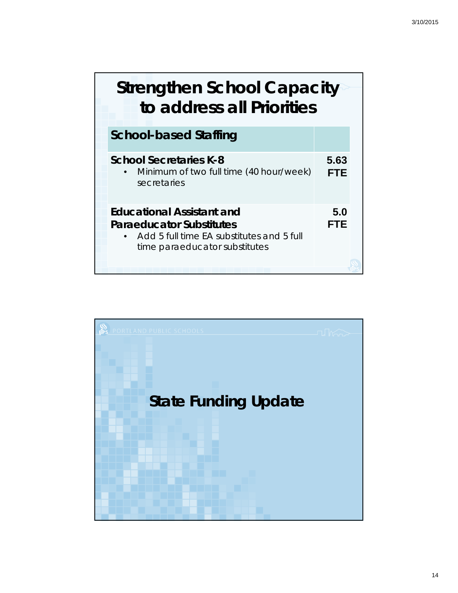## **Strengthen School Capacity to address all Priorities**

| <b>School-based Staffing</b>                                                                                                                      |                    |
|---------------------------------------------------------------------------------------------------------------------------------------------------|--------------------|
| <b>School Secretaries K-8</b><br>Minimum of two full time (40 hour/week)<br>secretaries                                                           | 5.63<br><b>FTE</b> |
| <b>Educational Assistant and</b><br><b>Paraeducator Substitutes</b><br>Add 5 full time EA substitutes and 5 full<br>time paraeducator substitutes | 5.0<br><b>FTE</b>  |

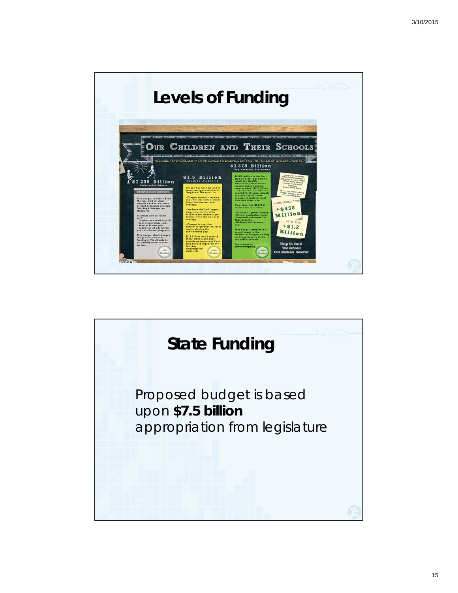

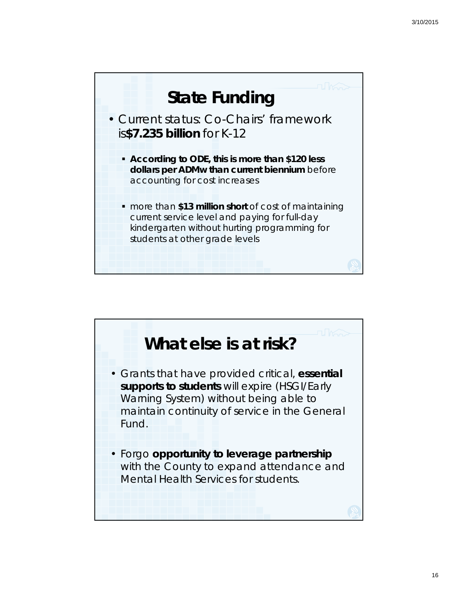